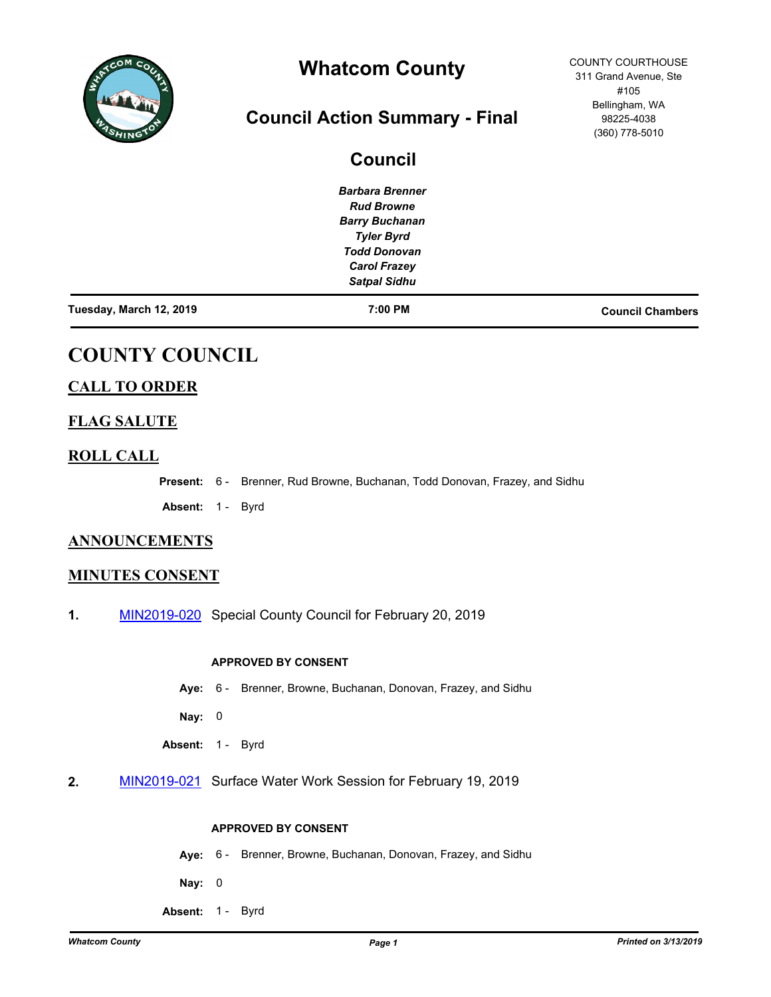

# **Whatcom County**

# **Council Action Summary - Final**

|                         | <b>Council</b>         |                         |
|-------------------------|------------------------|-------------------------|
|                         | <b>Barbara Brenner</b> |                         |
|                         | <b>Rud Browne</b>      |                         |
|                         | <b>Barry Buchanan</b>  |                         |
|                         | <b>Tyler Byrd</b>      |                         |
|                         | <b>Todd Donovan</b>    |                         |
|                         | <b>Carol Frazey</b>    |                         |
|                         | <b>Satpal Sidhu</b>    |                         |
| Tuesday, March 12, 2019 | 7:00 PM                | <b>Council Chambers</b> |

# **COUNTY COUNCIL**

# **CALL TO ORDER**

# **FLAG SALUTE**

## **ROLL CALL**

**Present:** 6 - Brenner, Rud Browne, Buchanan, Todd Donovan, Frazey, and Sidhu

Absent: 1 - Byrd

## **ANNOUNCEMENTS**

## **MINUTES CONSENT**

**1.** [MIN2019-020](http://whatcom.legistar.com/gateway.aspx?m=l&id=/matter.aspx?key=2171) Special County Council for February 20, 2019

#### **APPROVED BY CONSENT**

- **Aye:** 6 Brenner, Browne, Buchanan, Donovan, Frazey, and Sidhu
- **Nay:** 0
- Absent: 1 Byrd
- **2.** [MIN2019-021](http://whatcom.legistar.com/gateway.aspx?m=l&id=/matter.aspx?key=2172) Surface Water Work Session for February 19, 2019

#### **APPROVED BY CONSENT**

- **Aye:** 6 Brenner, Browne, Buchanan, Donovan, Frazey, and Sidhu
- **Nay:** 0
- Absent: 1 Byrd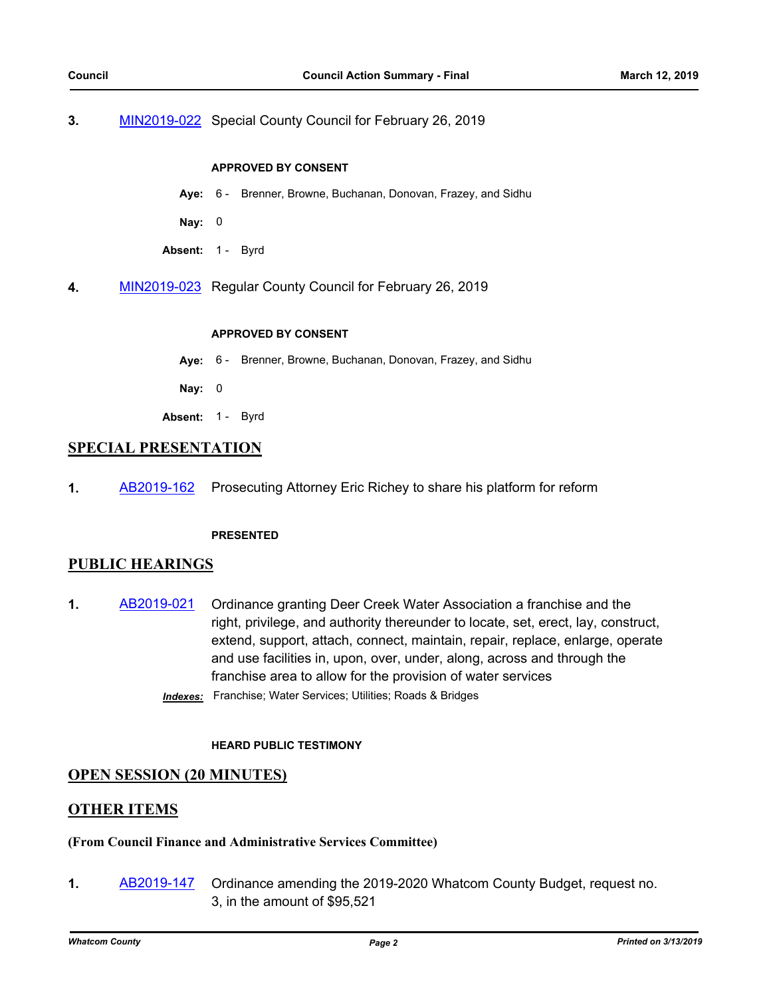#### **3.** [MIN2019-022](http://whatcom.legistar.com/gateway.aspx?m=l&id=/matter.aspx?key=2178) Special County Council for February 26, 2019

#### **APPROVED BY CONSENT**

- **Aye:** 6 Brenner, Browne, Buchanan, Donovan, Frazey, and Sidhu
- **Nay:** 0
- Absent: 1 Byrd
- **4.** [MIN2019-023](http://whatcom.legistar.com/gateway.aspx?m=l&id=/matter.aspx?key=2179) Regular County Council for February 26, 2019

#### **APPROVED BY CONSENT**

- **Aye:** 6 Brenner, Browne, Buchanan, Donovan, Frazey, and Sidhu
- **Nay:** 0
- Absent: 1 Byrd

#### **SPECIAL PRESENTATION**

**1.** [AB2019-162](http://whatcom.legistar.com/gateway.aspx?m=l&id=/matter.aspx?key=2185) Prosecuting Attorney Eric Richey to share his platform for reform

#### **PRESENTED**

### **PUBLIC HEARINGS**

- **1.** [AB2019-021](http://whatcom.legistar.com/gateway.aspx?m=l&id=/matter.aspx?key=2028) Ordinance granting Deer Creek Water Association a franchise and the right, privilege, and authority thereunder to locate, set, erect, lay, construct, extend, support, attach, connect, maintain, repair, replace, enlarge, operate and use facilities in, upon, over, under, along, across and through the franchise area to allow for the provision of water services
	- *Indexes:* Franchise; Water Services; Utilities; Roads & Bridges

#### **HEARD PUBLIC TESTIMONY**

### **OPEN SESSION (20 MINUTES)**

### **OTHER ITEMS**

#### **(From Council Finance and Administrative Services Committee)**

**1.** [AB2019-147](http://whatcom.legistar.com/gateway.aspx?m=l&id=/matter.aspx?key=2165) Ordinance amending the 2019-2020 Whatcom County Budget, request no. 3, in the amount of \$95,521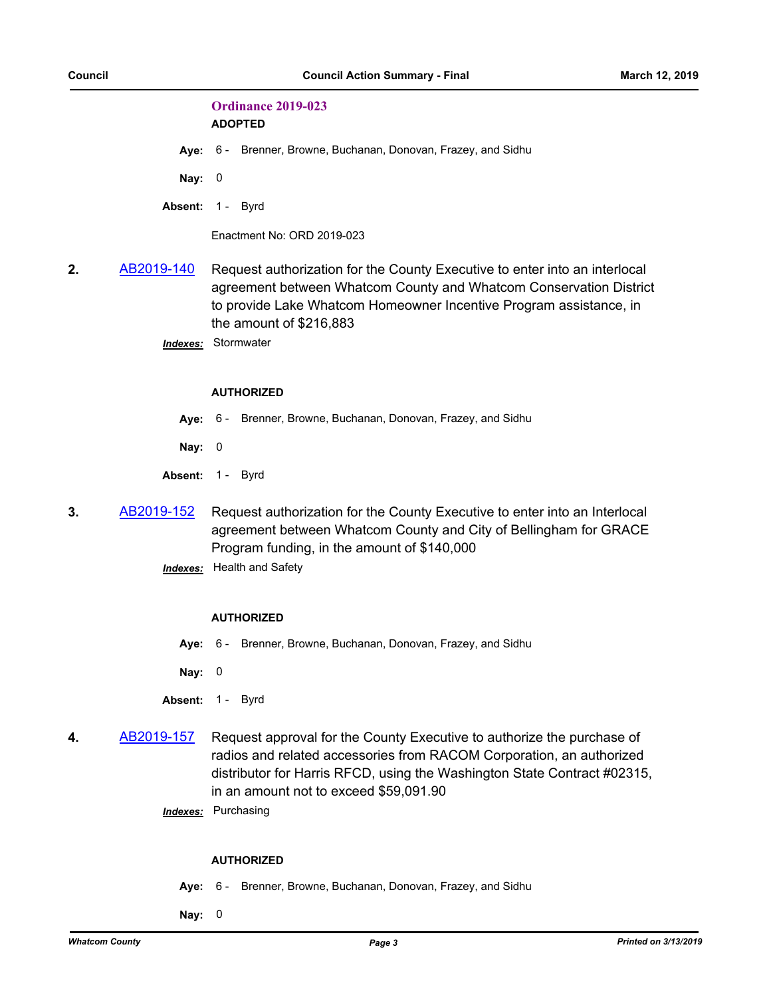# **Ordinance 2019-023**

**ADOPTED**

**Aye:** 6 - Brenner, Browne, Buchanan, Donovan, Frazey, and Sidhu

**Nay:** 0

Absent: 1 - Byrd

Enactment No: ORD 2019-023

**2.** [AB2019-140](http://whatcom.legistar.com/gateway.aspx?m=l&id=/matter.aspx?key=2158) Request authorization for the County Executive to enter into an interlocal agreement between Whatcom County and Whatcom Conservation District to provide Lake Whatcom Homeowner Incentive Program assistance, in the amount of \$216,883

*Indexes:* Stormwater

#### **AUTHORIZED**

- **Aye:** 6 Brenner, Browne, Buchanan, Donovan, Frazey, and Sidhu
- **Nay:** 0
- Absent: 1 Byrd
- **3.** [AB2019-152](http://whatcom.legistar.com/gateway.aspx?m=l&id=/matter.aspx?key=2174) Request authorization for the County Executive to enter into an Interlocal agreement between Whatcom County and City of Bellingham for GRACE Program funding, in the amount of \$140,000
	- *Indexes:* Health and Safety

#### **AUTHORIZED**

**Aye:** 6 - Brenner, Browne, Buchanan, Donovan, Frazey, and Sidhu

**Nay:** 0

- Absent: 1 Byrd
- **4.** [AB2019-157](http://whatcom.legistar.com/gateway.aspx?m=l&id=/matter.aspx?key=2181) Request approval for the County Executive to authorize the purchase of radios and related accessories from RACOM Corporation, an authorized distributor for Harris RFCD, using the Washington State Contract #02315, in an amount not to exceed \$59,091.90
	- *Indexes:* Purchasing

#### **AUTHORIZED**

- **Aye:** 6 Brenner, Browne, Buchanan, Donovan, Frazey, and Sidhu
- **Nay:** 0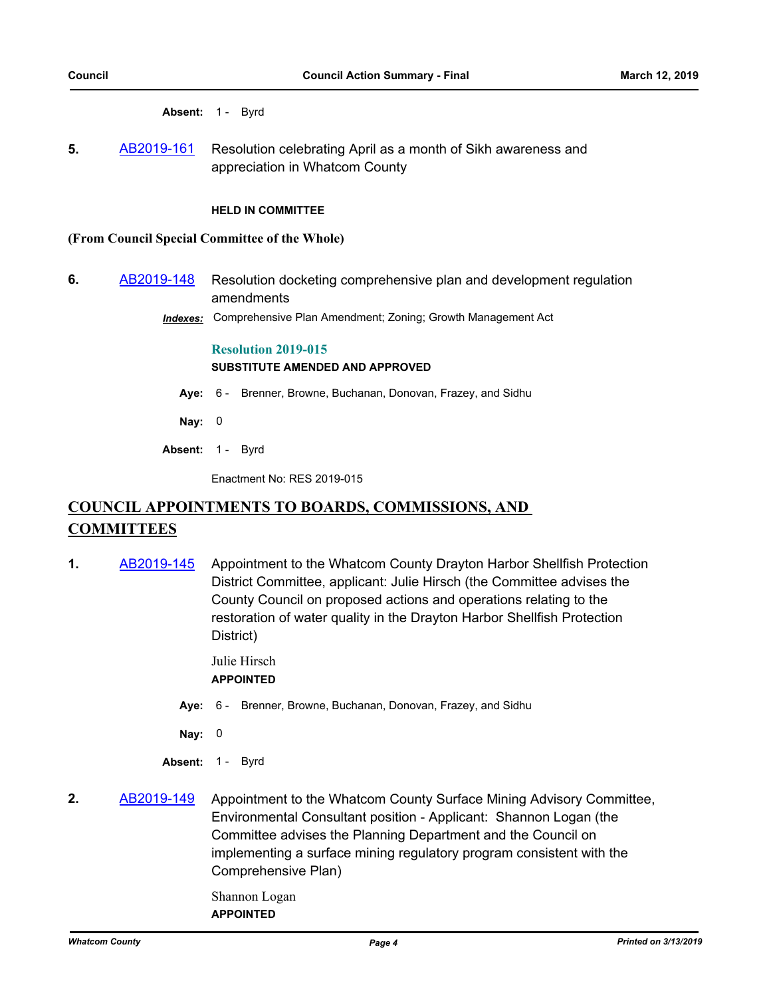Absent: 1 - Byrd

**5.** [AB2019-161](http://whatcom.legistar.com/gateway.aspx?m=l&id=/matter.aspx?key=2184) Resolution celebrating April as a month of Sikh awareness and appreciation in Whatcom County

#### **HELD IN COMMITTEE**

#### **(From Council Special Committee of the Whole)**

- **6.** [AB2019-148](http://whatcom.legistar.com/gateway.aspx?m=l&id=/matter.aspx?key=2168) Resolution docketing comprehensive plan and development regulation amendments
	- *Indexes:* Comprehensive Plan Amendment; Zoning; Growth Management Act

#### **Resolution 2019-015 SUBSTITUTE AMENDED AND APPROVED**

- **Aye:** 6 Brenner, Browne, Buchanan, Donovan, Frazey, and Sidhu
- **Nay:** 0
- Absent: 1 Byrd

Enactment No: RES 2019-015

# **COUNCIL APPOINTMENTS TO BOARDS, COMMISSIONS, AND COMMITTEES**

**1.** [AB2019-145](http://whatcom.legistar.com/gateway.aspx?m=l&id=/matter.aspx?key=2163) Appointment to the Whatcom County Drayton Harbor Shellfish Protection District Committee, applicant: Julie Hirsch (the Committee advises the County Council on proposed actions and operations relating to the restoration of water quality in the Drayton Harbor Shellfish Protection District)

> Julie Hirsch **APPOINTED**

- **Aye:** 6 Brenner, Browne, Buchanan, Donovan, Frazey, and Sidhu
- **Nay:** 0
- Absent: 1 Byrd
- **2.** [AB2019-149](http://whatcom.legistar.com/gateway.aspx?m=l&id=/matter.aspx?key=2169) Appointment to the Whatcom County Surface Mining Advisory Committee, Environmental Consultant position - Applicant: Shannon Logan (the Committee advises the Planning Department and the Council on implementing a surface mining regulatory program consistent with the Comprehensive Plan)
	- Shannon Logan **APPOINTED**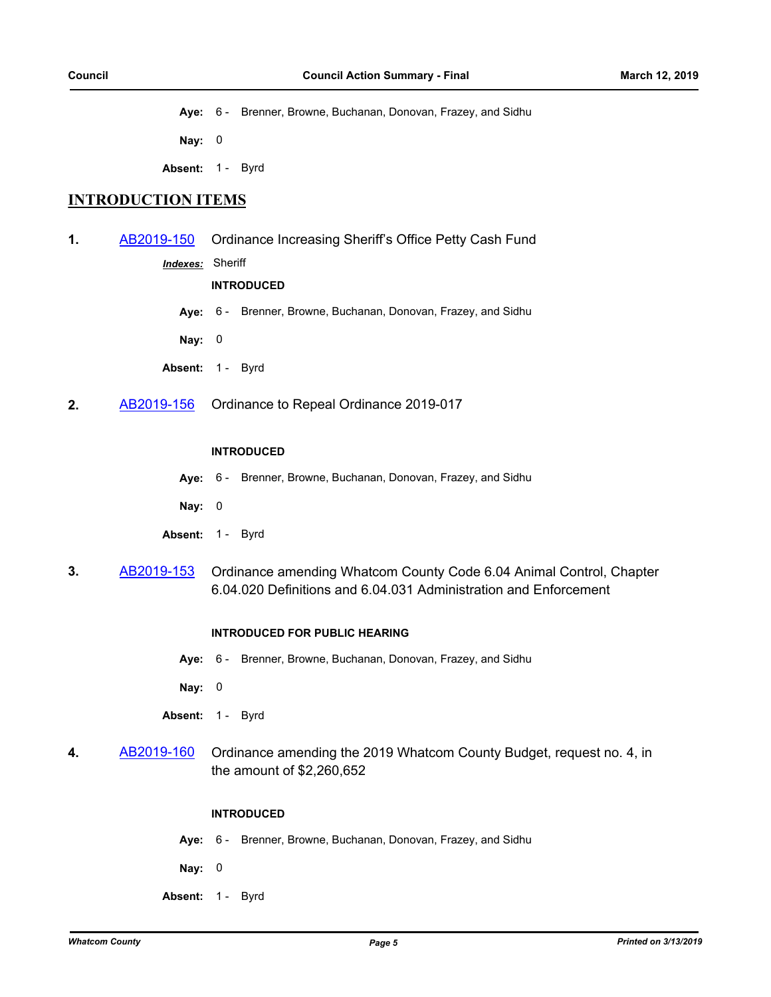**Aye:** 6 - Brenner, Browne, Buchanan, Donovan, Frazey, and Sidhu

**Nay:** 0

Absent: 1 - Byrd

## **INTRODUCTION ITEMS**

**1.** [AB2019-150](http://whatcom.legistar.com/gateway.aspx?m=l&id=/matter.aspx?key=2170) Ordinance Increasing Sheriff's Office Petty Cash Fund

*Indexes:* Sheriff

#### **INTRODUCED**

**Aye:** 6 - Brenner, Browne, Buchanan, Donovan, Frazey, and Sidhu

**Nay:** 0

- Absent: 1 Byrd
- **2.** [AB2019-156](http://whatcom.legistar.com/gateway.aspx?m=l&id=/matter.aspx?key=2180) Ordinance to Repeal Ordinance 2019-017

#### **INTRODUCED**

- **Aye:** 6 Brenner, Browne, Buchanan, Donovan, Frazey, and Sidhu
- **Nay:** 0
- Absent: 1 Byrd
- **3.** [AB2019-153](http://whatcom.legistar.com/gateway.aspx?m=l&id=/matter.aspx?key=2175) Ordinance amending Whatcom County Code 6.04 Animal Control, Chapter 6.04.020 Definitions and 6.04.031 Administration and Enforcement

#### **INTRODUCED FOR PUBLIC HEARING**

- **Aye:** 6 Brenner, Browne, Buchanan, Donovan, Frazey, and Sidhu
- **Nay:** 0
- Absent: 1 Byrd
- **4.** [AB2019-160](http://whatcom.legistar.com/gateway.aspx?m=l&id=/matter.aspx?key=2176) Ordinance amending the 2019 Whatcom County Budget, request no. 4, in the amount of \$2,260,652

#### **INTRODUCED**

- **Aye:** 6 Brenner, Browne, Buchanan, Donovan, Frazey, and Sidhu
- **Nay:** 0
- Absent: 1 Byrd